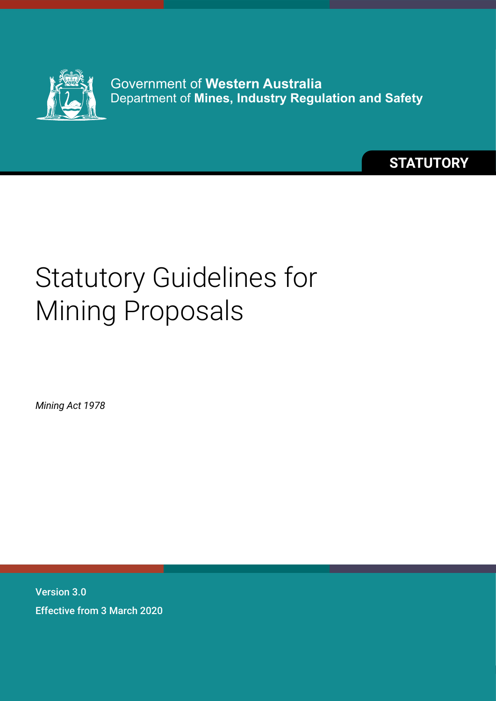

Government of **Western Australia** Department of **Mines, Industry Regulation and Safety**

**STATUTORY**

# Statutory Guidelines for Mining Proposals

*Mining Act 1978*

Version 3.0 Effective from 3 March 2020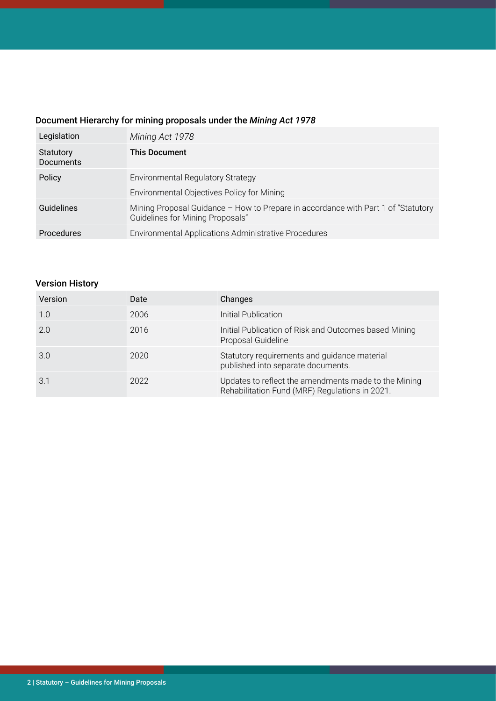# Document Hierarchy for mining proposals under the *Mining Act 1978*

| Legislation                   | Mining Act 1978                                                                                                        |
|-------------------------------|------------------------------------------------------------------------------------------------------------------------|
| Statutory<br><b>Documents</b> | <b>This Document</b>                                                                                                   |
| Policy                        | <b>Environmental Regulatory Strategy</b><br>Environmental Objectives Policy for Mining                                 |
| Guidelines                    | Mining Proposal Guidance - How to Prepare in accordance with Part 1 of "Statutory"<br>Guidelines for Mining Proposals" |
| <b>Procedures</b>             | Environmental Applications Administrative Procedures                                                                   |

# Version History

| Version | Date | Changes                                                                                                |
|---------|------|--------------------------------------------------------------------------------------------------------|
| 1.0     | 2006 | Initial Publication                                                                                    |
| 2.0     | 2016 | Initial Publication of Risk and Outcomes based Mining<br>Proposal Guideline                            |
| 3.0     | 2020 | Statutory requirements and guidance material<br>published into separate documents.                     |
| 3.1     | 2022 | Updates to reflect the amendments made to the Mining<br>Rehabilitation Fund (MRF) Regulations in 2021. |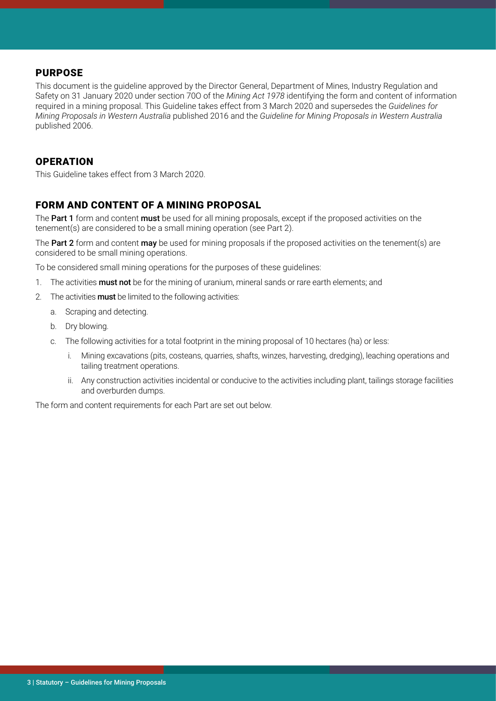#### PURPOSE

This document is the guideline approved by the Director General, Department of Mines, Industry Regulation and Safety on 31 January 2020 under section 70O of the *Mining Act 1978* identifying the form and content of information required in a mining proposal. This Guideline takes effect from 3 March 2020 and supersedes the *Guidelines for Mining Proposals in Western Australia* published 2016 and the *Guideline for Mining Proposals in Western Australia* published 2006.

#### **OPERATION**

This Guideline takes effect from 3 March 2020.

## FORM AND CONTENT OF A MINING PROPOSAL

The Part 1 form and content must be used for all mining proposals, except if the proposed activities on the tenement(s) are considered to be a small mining operation (see Part 2).

The Part 2 form and content may be used for mining proposals if the proposed activities on the tenement(s) are considered to be small mining operations.

To be considered small mining operations for the purposes of these guidelines:

- 1. The activities **must not** be for the mining of uranium, mineral sands or rare earth elements; and
- 2. The activities **must** be limited to the following activities:
	- a. Scraping and detecting.
	- b. Dry blowing.
	- c. The following activities for a total footprint in the mining proposal of 10 hectares (ha) or less:
		- i. Mining excavations (pits, costeans, quarries, shafts, winzes, harvesting, dredging), leaching operations and tailing treatment operations.
		- ii. Any construction activities incidental or conducive to the activities including plant, tailings storage facilities and overburden dumps.

The form and content requirements for each Part are set out below.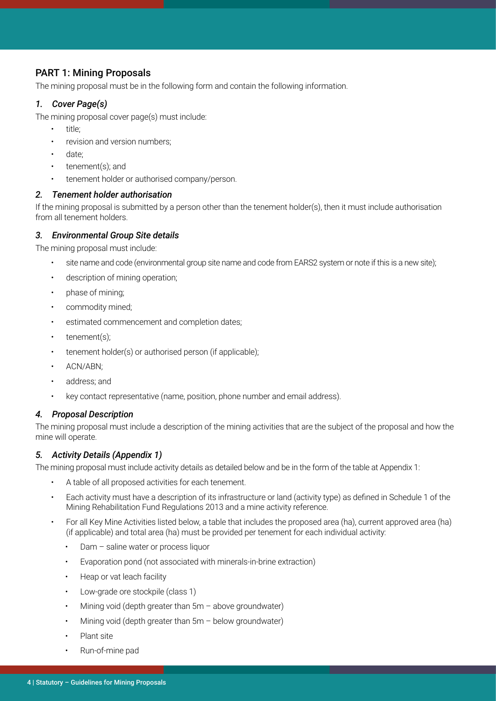#### PART 1: Mining Proposals

The mining proposal must be in the following form and contain the following information.

#### *1. Cover Page(s)*

The mining proposal cover page(s) must include:

- title;
- revision and version numbers;
- date:
- tenement(s); and
- tenement holder or authorised company/person.

#### *2. Tenement holder authorisation*

If the mining proposal is submitted by a person other than the tenement holder(s), then it must include authorisation from all tenement holders.

#### *3. Environmental Group Site details*

The mining proposal must include:

- site name and code (environmental group site name and code from EARS2 system or note if this is a new site);
- description of mining operation;
- phase of mining;
- commodity mined;
- estimated commencement and completion dates;
- tenement(s);
- tenement holder(s) or authorised person (if applicable);
- ACN/ABN;
- address; and
- key contact representative (name, position, phone number and email address).

#### *4. Proposal Description*

The mining proposal must include a description of the mining activities that are the subject of the proposal and how the mine will operate.

#### *5. Activity Details (Appendix 1)*

The mining proposal must include activity details as detailed below and be in the form of the table at Appendix 1:

- A table of all proposed activities for each tenement.
- Each activity must have a description of its infrastructure or land (activity type) as defined in Schedule 1 of the Mining Rehabilitation Fund Regulations 2013 and a mine activity reference.
- For all Key Mine Activities listed below, a table that includes the proposed area (ha), current approved area (ha) (if applicable) and total area (ha) must be provided per tenement for each individual activity:
	- Dam saline water or process liquor
	- Evaporation pond (not associated with minerals-in-brine extraction)
	- Heap or vat leach facility
	- Low-grade ore stockpile (class 1)
	- Mining void (depth greater than  $5m -$  above groundwater)
	- Mining void (depth greater than  $5m -$  below groundwater)
	- Plant site
	- Run-of-mine pad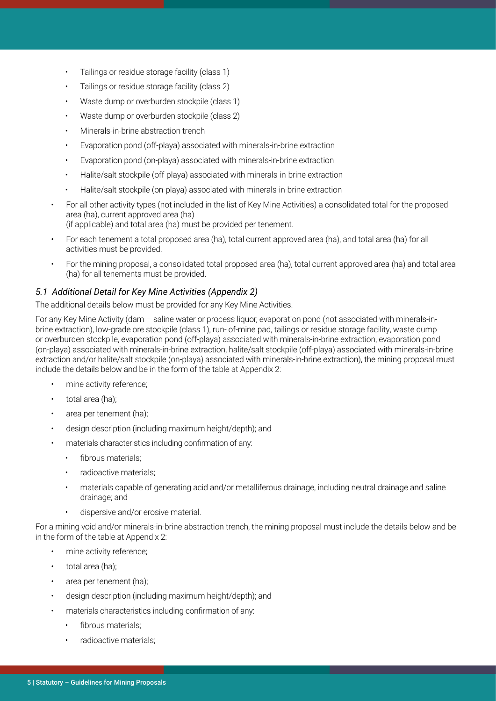- Tailings or residue storage facility (class 1)
- Tailings or residue storage facility (class 2)
- Waste dump or overburden stockpile (class 1)
- Waste dump or overburden stockpile (class 2)
- Minerals-in-brine abstraction trench
- Evaporation pond (off-playa) associated with minerals-in-brine extraction
- Evaporation pond (on-playa) associated with minerals-in-brine extraction
- Halite/salt stockpile (off-playa) associated with minerals-in-brine extraction
- Halite/salt stockpile (on-playa) associated with minerals-in-brine extraction
- For all other activity types (not included in the list of Key Mine Activities) a consolidated total for the proposed area (ha), current approved area (ha) (if applicable) and total area (ha) must be provided per tenement.
- For each tenement a total proposed area (ha), total current approved area (ha), and total area (ha) for all activities must be provided.
- For the mining proposal, a consolidated total proposed area (ha), total current approved area (ha) and total area (ha) for all tenements must be provided.

#### *5.1 Additional Detail for Key Mine Activities (Appendix 2)*

The additional details below must be provided for any Key Mine Activities.

For any Key Mine Activity (dam – saline water or process liquor, evaporation pond (not associated with minerals-inbrine extraction), low-grade ore stockpile (class 1), run- of-mine pad, tailings or residue storage facility, waste dump or overburden stockpile, evaporation pond (off-playa) associated with minerals-in-brine extraction, evaporation pond (on-playa) associated with minerals-in-brine extraction, halite/salt stockpile (off-playa) associated with minerals-in-brine extraction and/or halite/salt stockpile (on-playa) associated with minerals-in-brine extraction), the mining proposal must include the details below and be in the form of the table at Appendix 2:

- mine activity reference:
- total area (ha);
- area per tenement (ha);
- design description (including maximum height/depth); and
- materials characteristics including confirmation of any:
	- fibrous materials:
	- radioactive materials;
	- materials capable of generating acid and/or metalliferous drainage, including neutral drainage and saline drainage; and
	- dispersive and/or erosive material.

For a mining void and/or minerals-in-brine abstraction trench, the mining proposal must include the details below and be in the form of the table at Appendix 2:

- mine activity reference:
- total area (ha);
- area per tenement (ha);
- design description (including maximum height/depth); and
- materials characteristics including confirmation of any:
	- fibrous materials:
	- radioactive materials;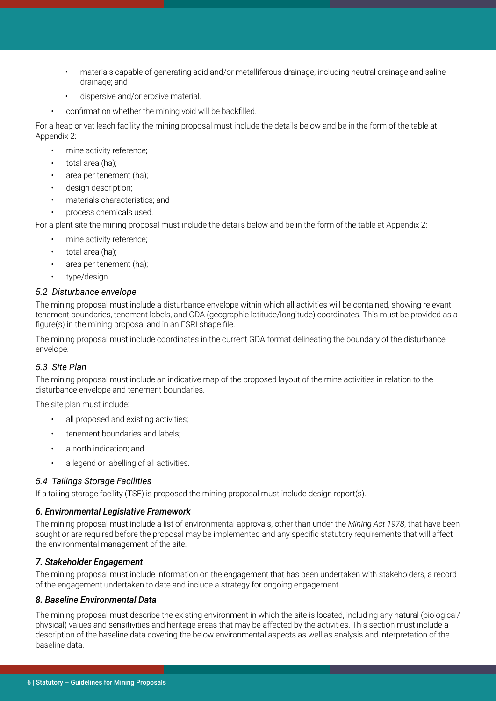- materials capable of generating acid and/or metalliferous drainage, including neutral drainage and saline drainage; and
- dispersive and/or erosive material.
- confirmation whether the mining void will be backfilled.

For a heap or vat leach facility the mining proposal must include the details below and be in the form of the table at Appendix 2:

- mine activity reference;
- total area (ha);
- area per tenement (ha);
- design description;
- materials characteristics; and
- process chemicals used.

For a plant site the mining proposal must include the details below and be in the form of the table at Appendix 2:

- mine activity reference:
- total area (ha):
- area per tenement (ha);
- type/design.

#### *5.2 Disturbance envelope*

The mining proposal must include a disturbance envelope within which all activities will be contained, showing relevant tenement boundaries, tenement labels, and GDA (geographic latitude/longitude) coordinates. This must be provided as a figure(s) in the mining proposal and in an ESRI shape file.

The mining proposal must include coordinates in the current GDA format delineating the boundary of the disturbance envelope.

#### *5.3 Site Plan*

The mining proposal must include an indicative map of the proposed layout of the mine activities in relation to the disturbance envelope and tenement boundaries.

The site plan must include:

- all proposed and existing activities;
- tenement boundaries and labels;
- a north indication; and
- a legend or labelling of all activities.

#### *5.4 Tailings Storage Facilities*

If a tailing storage facility (TSF) is proposed the mining proposal must include design report(s).

#### *6. Environmental Legislative Framework*

The mining proposal must include a list of environmental approvals, other than under the *Mining Act 1978*, that have been sought or are required before the proposal may be implemented and any specific statutory requirements that will affect the environmental management of the site.

#### *7. Stakeholder Engagement*

The mining proposal must include information on the engagement that has been undertaken with stakeholders, a record of the engagement undertaken to date and include a strategy for ongoing engagement.

#### *8. Baseline Environmental Data*

The mining proposal must describe the existing environment in which the site is located, including any natural (biological/ physical) values and sensitivities and heritage areas that may be affected by the activities. This section must include a description of the baseline data covering the below environmental aspects as well as analysis and interpretation of the baseline data.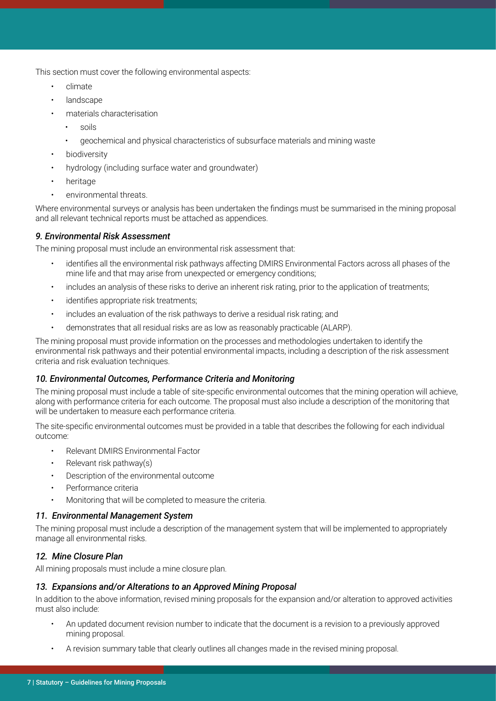This section must cover the following environmental aspects:

- climate
- **landscape**
- materials characterisation
	- soils
	- geochemical and physical characteristics of subsurface materials and mining waste
- **biodiversity**
- hydrology (including surface water and groundwater)
- heritage
- environmental threats.

Where environmental surveys or analysis has been undertaken the findings must be summarised in the mining proposal and all relevant technical reports must be attached as appendices.

#### *9. Environmental Risk Assessment*

The mining proposal must include an environmental risk assessment that:

- identifies all the environmental risk pathways affecting DMIRS Environmental Factors across all phases of the mine life and that may arise from unexpected or emergency conditions;
- includes an analysis of these risks to derive an inherent risk rating, prior to the application of treatments;
- identifies appropriate risk treatments;
- includes an evaluation of the risk pathways to derive a residual risk rating; and
- demonstrates that all residual risks are as low as reasonably practicable (ALARP).

The mining proposal must provide information on the processes and methodologies undertaken to identify the environmental risk pathways and their potential environmental impacts, including a description of the risk assessment criteria and risk evaluation techniques.

#### *10. Environmental Outcomes, Performance Criteria and Monitoring*

The mining proposal must include a table of site-specific environmental outcomes that the mining operation will achieve, along with performance criteria for each outcome. The proposal must also include a description of the monitoring that will be undertaken to measure each performance criteria.

The site-specific environmental outcomes must be provided in a table that describes the following for each individual outcome:

- Relevant DMIRS Environmental Factor
- Relevant risk pathway(s)
- Description of the environmental outcome
- Performance criteria
- Monitoring that will be completed to measure the criteria.

#### *11. Environmental Management System*

The mining proposal must include a description of the management system that will be implemented to appropriately manage all environmental risks.

#### *12. Mine Closure Plan*

All mining proposals must include a mine closure plan.

#### *13. Expansions and/or Alterations to an Approved Mining Proposal*

In addition to the above information, revised mining proposals for the expansion and/or alteration to approved activities must also include:

- An updated document revision number to indicate that the document is a revision to a previously approved mining proposal.
- A revision summary table that clearly outlines all changes made in the revised mining proposal.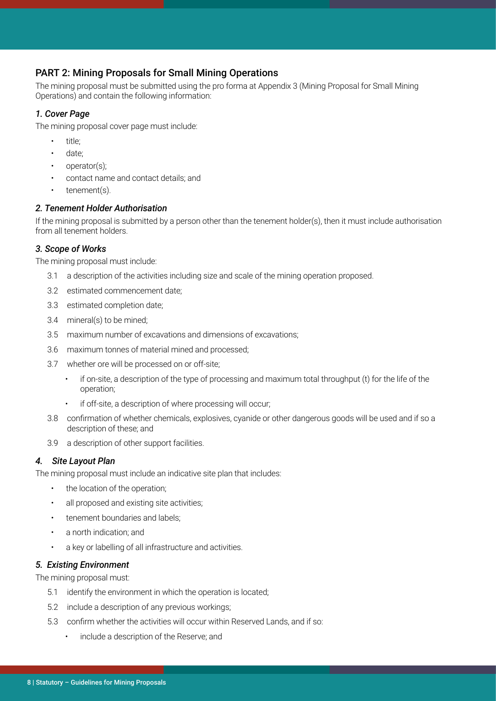## PART 2: Mining Proposals for Small Mining Operations

The mining proposal must be submitted using the pro forma at Appendix 3 (Mining Proposal for Small Mining Operations) and contain the following information:

#### *1. Cover Page*

The mining proposal cover page must include:

- title;
- date:
- operator(s);
- contact name and contact details; and
- tenement(s).

#### *2. Tenement Holder Authorisation*

If the mining proposal is submitted by a person other than the tenement holder(s), then it must include authorisation from all tenement holders.

#### *3. Scope of Works*

The mining proposal must include:

- 3.1 a description of the activities including size and scale of the mining operation proposed.
- 3.2 estimated commencement date;
- 3.3 estimated completion date;
- 3.4 mineral(s) to be mined;
- 3.5 maximum number of excavations and dimensions of excavations;
- 3.6 maximum tonnes of material mined and processed;
- 3.7 whether ore will be processed on or off-site;
	- if on-site, a description of the type of processing and maximum total throughput (t) for the life of the operation;
	- if off-site, a description of where processing will occur;
- 3.8 confirmation of whether chemicals, explosives, cyanide or other dangerous goods will be used and if so a description of these; and
- 3.9 a description of other support facilities.

#### *4. Site Layout Plan*

The mining proposal must include an indicative site plan that includes:

- the location of the operation;
- all proposed and existing site activities;
- tenement boundaries and labels;
- a north indication; and
- a key or labelling of all infrastructure and activities.

#### *5. Existing Environment*

The mining proposal must:

- 5.1 identify the environment in which the operation is located;
- 5.2 include a description of any previous workings;
- 5.3 confirm whether the activities will occur within Reserved Lands, and if so:
	- include a description of the Reserve; and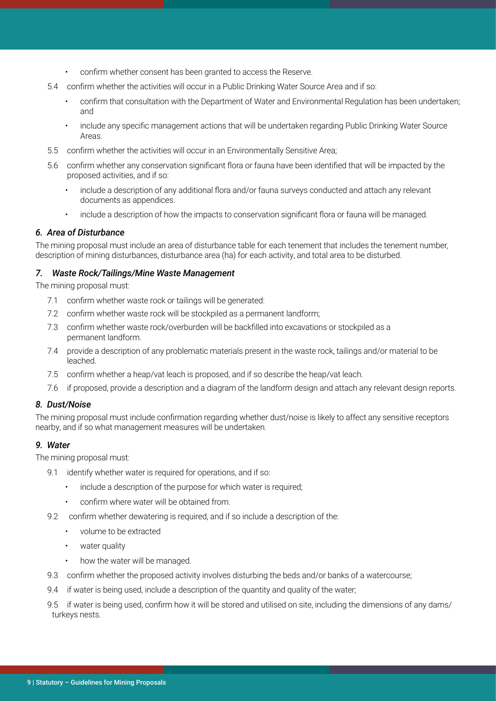- confirm whether consent has been granted to access the Reserve.
- 5.4 confirm whether the activities will occur in a Public Drinking Water Source Area and if so:
	- confirm that consultation with the Department of Water and Environmental Regulation has been undertaken; and
	- include any specific management actions that will be undertaken regarding Public Drinking Water Source Areas.
- 5.5 confirm whether the activities will occur in an Environmentally Sensitive Area;
- 5.6 confirm whether any conservation significant flora or fauna have been identified that will be impacted by the proposed activities, and if so:
	- include a description of any additional flora and/or fauna surveys conducted and attach any relevant documents as appendices.
	- include a description of how the impacts to conservation significant flora or fauna will be managed.

#### *6. Area of Disturbance*

The mining proposal must include an area of disturbance table for each tenement that includes the tenement number, description of mining disturbances, disturbance area (ha) for each activity, and total area to be disturbed.

#### *7. Waste Rock/Tailings/Mine Waste Management*

The mining proposal must:

- 7.1 confirm whether waste rock or tailings will be generated:
- 7.2 confirm whether waste rock will be stockpiled as a permanent landform;
- 7.3 confirm whether waste rock/overburden will be backfilled into excavations or stockpiled as a permanent landform.
- 7.4 provide a description of any problematic materials present in the waste rock, tailings and/or material to be leached.
- 7.5 confirm whether a heap/vat leach is proposed, and if so describe the heap/vat leach.
- 7.6 if proposed, provide a description and a diagram of the landform design and attach any relevant design reports.

#### *8. Dust/Noise*

The mining proposal must include confirmation regarding whether dust/noise is likely to affect any sensitive receptors nearby, and if so what management measures will be undertaken.

#### *9. Water*

The mining proposal must:

- 9.1 identify whether water is required for operations, and if so:
	- include a description of the purpose for which water is required;
	- confirm where water will be obtained from.
- 9.2 confirm whether dewatering is required, and if so include a description of the:
	- volume to be extracted
	- water quality
	- how the water will be managed.
- 9.3 confirm whether the proposed activity involves disturbing the beds and/or banks of a watercourse;
- 9.4 if water is being used, include a description of the quantity and quality of the water;
- 9.5 if water is being used, confirm how it will be stored and utilised on site, including the dimensions of any dams/ turkeys nests.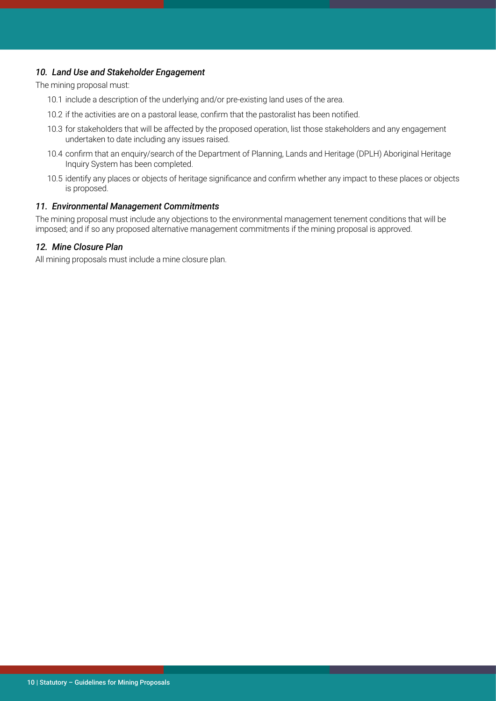#### *10. Land Use and Stakeholder Engagement*

The mining proposal must:

- 10.1 include a description of the underlying and/or pre-existing land uses of the area.
- 10.2 if the activities are on a pastoral lease, confirm that the pastoralist has been notified.
- 10.3 for stakeholders that will be affected by the proposed operation, list those stakeholders and any engagement undertaken to date including any issues raised.
- 10.4 confirm that an enquiry/search of the Department of Planning, Lands and Heritage (DPLH) Aboriginal Heritage Inquiry System has been completed.
- 10.5 identify any places or objects of heritage significance and confirm whether any impact to these places or objects is proposed.

#### *11. Environmental Management Commitments*

The mining proposal must include any objections to the environmental management tenement conditions that will be imposed; and if so any proposed alternative management commitments if the mining proposal is approved.

#### *12. Mine Closure Plan*

All mining proposals must include a mine closure plan.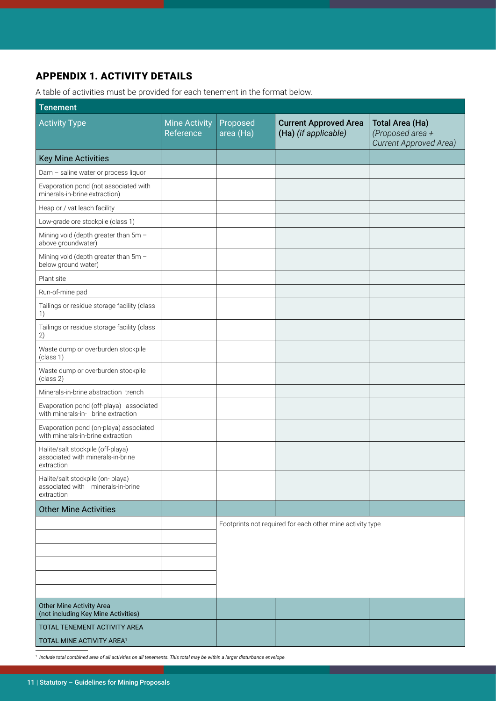# APPENDIX 1. ACTIVITY DETAILS

A table of activities must be provided for each tenement in the format below.

| <b>Tenement</b>                                                                      |                                   |                       |                                                            |                                                                             |
|--------------------------------------------------------------------------------------|-----------------------------------|-----------------------|------------------------------------------------------------|-----------------------------------------------------------------------------|
| <b>Activity Type</b>                                                                 | <b>Mine Activity</b><br>Reference | Proposed<br>area (Ha) | <b>Current Approved Area</b><br>(Ha) (if applicable)       | <b>Total Area (Ha)</b><br>(Proposed area +<br><b>Current Approved Area)</b> |
| <b>Key Mine Activities</b>                                                           |                                   |                       |                                                            |                                                                             |
| Dam - saline water or process liquor                                                 |                                   |                       |                                                            |                                                                             |
| Evaporation pond (not associated with<br>minerals-in-brine extraction)               |                                   |                       |                                                            |                                                                             |
| Heap or / vat leach facility                                                         |                                   |                       |                                                            |                                                                             |
| Low-grade ore stockpile (class 1)                                                    |                                   |                       |                                                            |                                                                             |
| Mining void (depth greater than 5m -<br>above groundwater)                           |                                   |                       |                                                            |                                                                             |
| Mining void (depth greater than 5m -<br>below ground water)                          |                                   |                       |                                                            |                                                                             |
| Plant site                                                                           |                                   |                       |                                                            |                                                                             |
| Run-of-mine pad                                                                      |                                   |                       |                                                            |                                                                             |
| Tailings or residue storage facility (class<br>1)                                    |                                   |                       |                                                            |                                                                             |
| Tailings or residue storage facility (class<br>2)                                    |                                   |                       |                                                            |                                                                             |
| Waste dump or overburden stockpile<br>(class 1)                                      |                                   |                       |                                                            |                                                                             |
| Waste dump or overburden stockpile<br>(class 2)                                      |                                   |                       |                                                            |                                                                             |
| Minerals-in-brine abstraction trench                                                 |                                   |                       |                                                            |                                                                             |
| Evaporation pond (off-playa) associated<br>with minerals-in- brine extraction        |                                   |                       |                                                            |                                                                             |
| Evaporation pond (on-playa) associated<br>with minerals-in-brine extraction          |                                   |                       |                                                            |                                                                             |
| Halite/salt stockpile (off-playa)<br>associated with minerals-in-brine<br>extraction |                                   |                       |                                                            |                                                                             |
| Halite/salt stockpile (on-playa)<br>associated with minerals-in-brine<br>extraction  |                                   |                       |                                                            |                                                                             |
| <b>Other Mine Activities</b>                                                         |                                   |                       |                                                            |                                                                             |
|                                                                                      |                                   |                       | Footprints not required for each other mine activity type. |                                                                             |
|                                                                                      |                                   |                       |                                                            |                                                                             |
|                                                                                      |                                   |                       |                                                            |                                                                             |
|                                                                                      |                                   |                       |                                                            |                                                                             |
|                                                                                      |                                   |                       |                                                            |                                                                             |
|                                                                                      |                                   |                       |                                                            |                                                                             |
| Other Mine Activity Area<br>(not including Key Mine Activities)                      |                                   |                       |                                                            |                                                                             |
| TOTAL TENEMENT ACTIVITY AREA                                                         |                                   |                       |                                                            |                                                                             |
| TOTAL MINE ACTIVITY AREA <sup>1</sup>                                                |                                   |                       |                                                            |                                                                             |

*1 Include total combined area of all activities on all tenements. This total may be within a larger disturbance envelope.*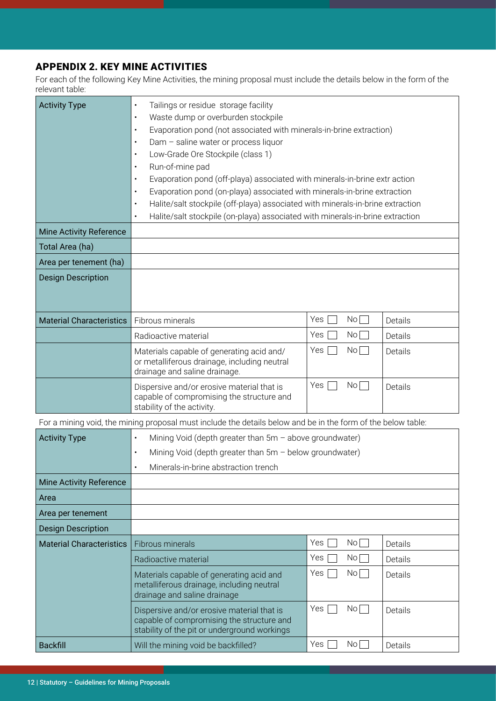# APPENDIX 2. KEY MINE ACTIVITIES

For each of the following Key Mine Activities, the mining proposal must include the details below in the form of the relevant table:

| <b>Activity Type</b>            | Tailings or residue storage facility<br>$\bullet$<br>Waste dump or overburden stockpile<br>$\bullet$<br>Evaporation pond (not associated with minerals-in-brine extraction)<br>$\bullet$<br>Dam - saline water or process liquor<br>$\bullet$<br>Low-Grade Ore Stockpile (class 1)<br>$\bullet$<br>Run-of-mine pad<br>$\bullet$<br>Evaporation pond (off-playa) associated with minerals-in-brine extr action<br>$\bullet$<br>Evaporation pond (on-playa) associated with minerals-in-brine extraction<br>$\bullet$<br>Halite/salt stockpile (off-playa) associated with minerals-in-brine extraction<br>$\bullet$<br>Halite/salt stockpile (on-playa) associated with minerals-in-brine extraction<br>$\bullet$ |                      |         |  |
|---------------------------------|------------------------------------------------------------------------------------------------------------------------------------------------------------------------------------------------------------------------------------------------------------------------------------------------------------------------------------------------------------------------------------------------------------------------------------------------------------------------------------------------------------------------------------------------------------------------------------------------------------------------------------------------------------------------------------------------------------------|----------------------|---------|--|
| <b>Mine Activity Reference</b>  |                                                                                                                                                                                                                                                                                                                                                                                                                                                                                                                                                                                                                                                                                                                  |                      |         |  |
| Total Area (ha)                 |                                                                                                                                                                                                                                                                                                                                                                                                                                                                                                                                                                                                                                                                                                                  |                      |         |  |
| Area per tenement (ha)          |                                                                                                                                                                                                                                                                                                                                                                                                                                                                                                                                                                                                                                                                                                                  |                      |         |  |
| <b>Design Description</b>       |                                                                                                                                                                                                                                                                                                                                                                                                                                                                                                                                                                                                                                                                                                                  |                      |         |  |
| <b>Material Characteristics</b> | Fibrous minerals                                                                                                                                                                                                                                                                                                                                                                                                                                                                                                                                                                                                                                                                                                 | Yes<br>No            | Details |  |
|                                 | Radioactive material                                                                                                                                                                                                                                                                                                                                                                                                                                                                                                                                                                                                                                                                                             | Yes<br>No            | Details |  |
|                                 | Materials capable of generating acid and/<br>or metalliferous drainage, including neutral<br>drainage and saline drainage.                                                                                                                                                                                                                                                                                                                                                                                                                                                                                                                                                                                       | Yes<br>No            | Details |  |
|                                 | Dispersive and/or erosive material that is<br>capable of compromising the structure and<br>stability of the activity.                                                                                                                                                                                                                                                                                                                                                                                                                                                                                                                                                                                            | Yes<br>No            | Details |  |
|                                 | For a mining void, the mining proposal must include the details below and be in the form of the below table:                                                                                                                                                                                                                                                                                                                                                                                                                                                                                                                                                                                                     |                      |         |  |
| <b>Activity Type</b>            | Mining Void (depth greater than $5m -$ above groundwater)<br>$\bullet$                                                                                                                                                                                                                                                                                                                                                                                                                                                                                                                                                                                                                                           |                      |         |  |
|                                 | Mining Void (depth greater than 5m - below groundwater)<br>$\bullet$                                                                                                                                                                                                                                                                                                                                                                                                                                                                                                                                                                                                                                             |                      |         |  |
|                                 | Minerals-in-brine abstraction trench                                                                                                                                                                                                                                                                                                                                                                                                                                                                                                                                                                                                                                                                             |                      |         |  |
| <b>Mine Activity Reference</b>  |                                                                                                                                                                                                                                                                                                                                                                                                                                                                                                                                                                                                                                                                                                                  |                      |         |  |
| Area                            |                                                                                                                                                                                                                                                                                                                                                                                                                                                                                                                                                                                                                                                                                                                  |                      |         |  |
| Area per tenement               |                                                                                                                                                                                                                                                                                                                                                                                                                                                                                                                                                                                                                                                                                                                  |                      |         |  |
| <b>Design Description</b>       |                                                                                                                                                                                                                                                                                                                                                                                                                                                                                                                                                                                                                                                                                                                  |                      |         |  |
| <b>Material Characteristics</b> | Fibrous minerals                                                                                                                                                                                                                                                                                                                                                                                                                                                                                                                                                                                                                                                                                                 | Yes<br>No            | Details |  |
|                                 | Radioactive material                                                                                                                                                                                                                                                                                                                                                                                                                                                                                                                                                                                                                                                                                             | Yes<br>No            | Details |  |
|                                 | Materials capable of generating acid and<br>metalliferous drainage, including neutral<br>drainage and saline drainage                                                                                                                                                                                                                                                                                                                                                                                                                                                                                                                                                                                            | Yes<br>No            | Details |  |
|                                 | Dispersive and/or erosive material that is<br>capable of compromising the structure and<br>stability of the pit or underground workings                                                                                                                                                                                                                                                                                                                                                                                                                                                                                                                                                                          | Yes<br>No            | Details |  |
| <b>Backfill</b>                 | Will the mining void be backfilled?                                                                                                                                                                                                                                                                                                                                                                                                                                                                                                                                                                                                                                                                              | Yes<br>$\mathsf{No}$ | Details |  |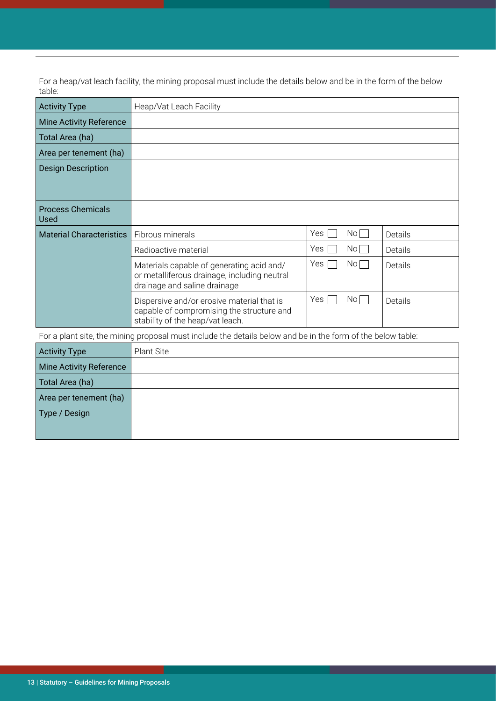For a heap/vat leach facility, the mining proposal must include the details below and be in the form of the below table:

| <b>Activity Type</b>                                                                                        | Heap/Vat Leach Facility                                                                                                     |                      |         |
|-------------------------------------------------------------------------------------------------------------|-----------------------------------------------------------------------------------------------------------------------------|----------------------|---------|
| <b>Mine Activity Reference</b>                                                                              |                                                                                                                             |                      |         |
| Total Area (ha)                                                                                             |                                                                                                                             |                      |         |
| Area per tenement (ha)                                                                                      |                                                                                                                             |                      |         |
| <b>Design Description</b>                                                                                   |                                                                                                                             |                      |         |
|                                                                                                             |                                                                                                                             |                      |         |
| <b>Process Chemicals</b><br>Used                                                                            |                                                                                                                             |                      |         |
| <b>Material Characteristics</b>                                                                             | Fibrous minerals                                                                                                            | <b>Yes</b><br>Nol    | Details |
|                                                                                                             | Radioactive material                                                                                                        | Yes<br>$\mathsf{No}$ | Details |
|                                                                                                             | Materials capable of generating acid and/<br>or metalliferous drainage, including neutral<br>drainage and saline drainage   | Yes<br>No            | Details |
|                                                                                                             | Dispersive and/or erosive material that is<br>capable of compromising the structure and<br>stability of the heap/vat leach. | Yes  <br>$No$        | Details |
| For a plant site, the mining proposal must include the details below and be in the form of the below table: |                                                                                                                             |                      |         |
| <b>Activity Type</b>                                                                                        | <b>Plant Site</b>                                                                                                           |                      |         |
| <b>Mine Activity Reference</b>                                                                              |                                                                                                                             |                      |         |
| Total Area (ha)                                                                                             |                                                                                                                             |                      |         |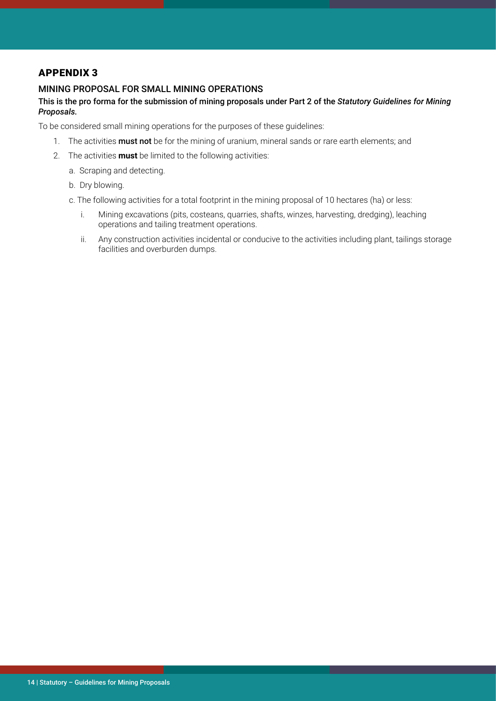#### APPENDIX 3

#### MINING PROPOSAL FOR SMALL MINING OPERATIONS

#### This is the pro forma for the submission of mining proposals under Part 2 of the *Statutory Guidelines for Mining Proposals.*

To be considered small mining operations for the purposes of these guidelines:

- 1. The activities **must not** be for the mining of uranium, mineral sands or rare earth elements; and
- 2. The activities **must** be limited to the following activities:
	- a. Scraping and detecting.
	- b. Dry blowing.
	- c. The following activities for a total footprint in the mining proposal of 10 hectares (ha) or less:
		- i. Mining excavations (pits, costeans, quarries, shafts, winzes, harvesting, dredging), leaching operations and tailing treatment operations.
		- ii. Any construction activities incidental or conducive to the activities including plant, tailings storage facilities and overburden dumps.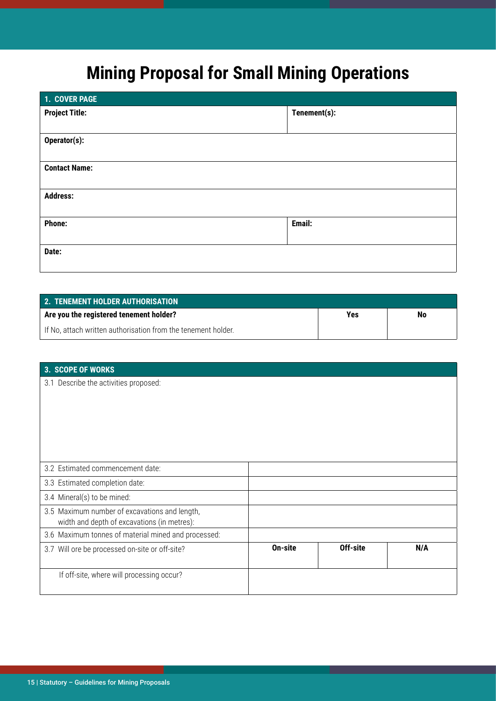# **Mining Proposal for Small Mining Operations**

| 1. COVER PAGE         |              |
|-----------------------|--------------|
| <b>Project Title:</b> | Tenement(s): |
| Operator(s):          |              |
| <b>Contact Name:</b>  |              |
| <b>Address:</b>       |              |
| <b>Phone:</b>         | Email:       |
| Date:                 |              |

| <b>2. TENEMENT HOLDER AUTHORISATION</b>                       |     |    |
|---------------------------------------------------------------|-----|----|
| Are you the registered tenement holder?                       | Yes | No |
| If No, attach written authorisation from the tenement holder. |     |    |

#### **3. SCOPE OF WORKS**

3.1 Describe the activities proposed:

| 3.2 Estimated commencement date:                                                             |         |          |     |
|----------------------------------------------------------------------------------------------|---------|----------|-----|
| 3.3 Estimated completion date:                                                               |         |          |     |
| 3.4 Mineral(s) to be mined:                                                                  |         |          |     |
| 3.5 Maximum number of excavations and length,<br>width and depth of excavations (in metres): |         |          |     |
| 3.6 Maximum tonnes of material mined and processed:                                          |         |          |     |
| 3.7 Will ore be processed on-site or off-site?                                               | On-site | Off-site | N/A |
| If off-site, where will processing occur?                                                    |         |          |     |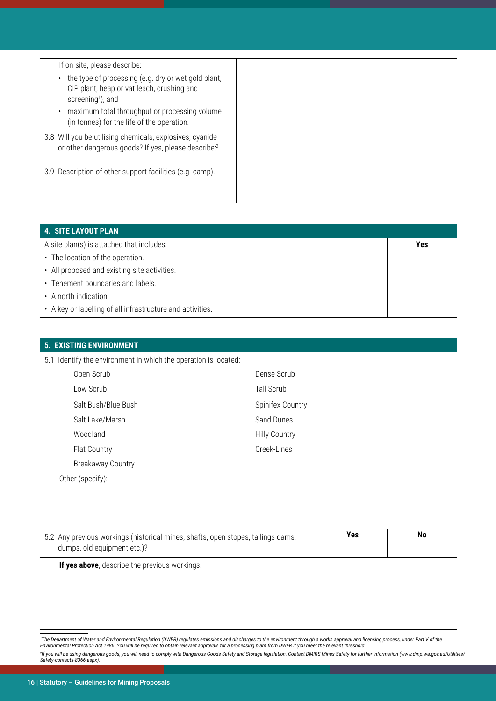| If on-site, please describe:                                                                                                                    |  |
|-------------------------------------------------------------------------------------------------------------------------------------------------|--|
| the type of processing (e.g. dry or wet gold plant,<br>$\bullet$<br>CIP plant, heap or vat leach, crushing and<br>screening <sup>1</sup> ); and |  |
| maximum total throughput or processing volume<br>$\bullet$<br>(in tonnes) for the life of the operation:                                        |  |
| 3.8 Will you be utilising chemicals, explosives, cyanide<br>or other dangerous goods? If yes, please describe:2                                 |  |
| 3.9 Description of other support facilities (e.g. camp).                                                                                        |  |

| 4. SITE LAYOUT PLAN                                        |     |
|------------------------------------------------------------|-----|
| A site plan(s) is attached that includes:                  | Yes |
| • The location of the operation.                           |     |
| • All proposed and existing site activities.               |     |
| • Tenement boundaries and labels.                          |     |
| • A north indication.                                      |     |
| • A key or labelling of all infrastructure and activities. |     |

| <b>EXISTING ENVIRONMENT</b><br>5.                                                                               |                      |     |           |
|-----------------------------------------------------------------------------------------------------------------|----------------------|-----|-----------|
| 5.1 Identify the environment in which the operation is located:                                                 |                      |     |           |
| Open Scrub                                                                                                      | Dense Scrub          |     |           |
| Low Scrub                                                                                                       | Tall Scrub           |     |           |
| Salt Bush/Blue Bush                                                                                             | Spinifex Country     |     |           |
| Salt Lake/Marsh                                                                                                 | Sand Dunes           |     |           |
| Woodland                                                                                                        | <b>Hilly Country</b> |     |           |
| Flat Country                                                                                                    | Creek-Lines          |     |           |
| <b>Breakaway Country</b>                                                                                        |                      |     |           |
| Other (specify):                                                                                                |                      |     |           |
|                                                                                                                 |                      |     |           |
|                                                                                                                 |                      |     |           |
|                                                                                                                 |                      |     |           |
| 5.2 Any previous workings (historical mines, shafts, open stopes, tailings dams,<br>dumps, old equipment etc.)? |                      | Yes | <b>No</b> |
| If yes above, describe the previous workings:                                                                   |                      |     |           |
|                                                                                                                 |                      |     |           |
|                                                                                                                 |                      |     |           |
|                                                                                                                 |                      |     |           |
|                                                                                                                 |                      |     |           |

<sup>1</sup>The Department of Water and Environmental Regulation (DWER) regulates emissions and discharges to the environment through a works approval and licensing process, under Part V of the<br>Environmental Protection Act 1986. Yo

<sup>2</sup>lf you will be using dangerous goods, you will need to comply with Dangerous Goods Safety and Storage legislation. Contact DMIRS Mines Safety for further information (www.dmp.wa.gov.au<br>Safety-contacts-8366.aspx). <sup>2</sup>lf you will be using dangerous goods, you will need to comply with Dangerous Goods Safety and Storage legislation. Contact DMIRS Mines Safety for further information (www.dmp.wa.gov.au/Utilities/<br>Safety-contacts-8366.as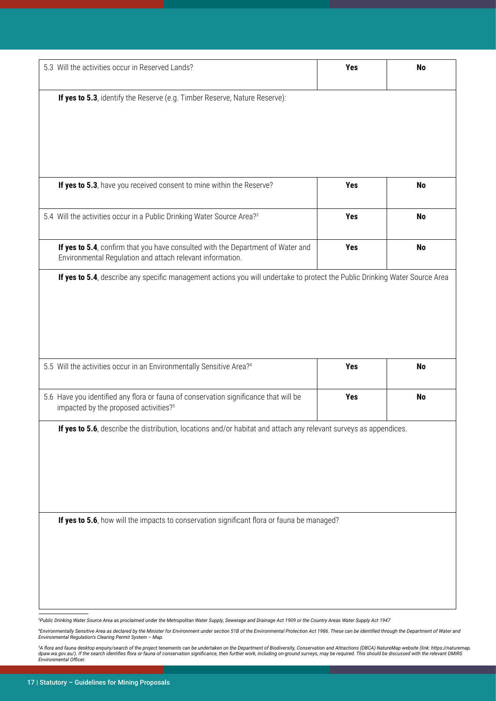| 5.3 Will the activities occur in Reserved Lands?                                                                                             | Yes | No        |
|----------------------------------------------------------------------------------------------------------------------------------------------|-----|-----------|
| If yes to 5.3, identify the Reserve (e.g. Timber Reserve, Nature Reserve):                                                                   |     |           |
|                                                                                                                                              |     |           |
|                                                                                                                                              |     |           |
| If yes to 5.3, have you received consent to mine within the Reserve?                                                                         | Yes | <b>No</b> |
| 5.4 Will the activities occur in a Public Drinking Water Source Area? <sup>3</sup>                                                           | Yes | <b>No</b> |
| If yes to 5.4, confirm that you have consulted with the Department of Water and<br>Environmental Regulation and attach relevant information. | Yes | <b>No</b> |
| If yes to 5.4, describe any specific management actions you will undertake to protect the Public Drinking Water Source Area                  |     |           |
|                                                                                                                                              |     |           |
|                                                                                                                                              |     |           |
|                                                                                                                                              |     |           |
|                                                                                                                                              |     |           |
| 5.5 Will the activities occur in an Environmentally Sensitive Area?4                                                                         | Yes | No        |
|                                                                                                                                              |     |           |
| 5.6 Have you identified any flora or fauna of conservation significance that will be<br>impacted by the proposed activities? <sup>5</sup>    | Yes |           |
|                                                                                                                                              |     | No        |
| If yes to 5.6, describe the distribution, locations and/or habitat and attach any relevant surveys as appendices.                            |     |           |
|                                                                                                                                              |     |           |
|                                                                                                                                              |     |           |
|                                                                                                                                              |     |           |
|                                                                                                                                              |     |           |
|                                                                                                                                              |     |           |
| If yes to 5.6, how will the impacts to conservation significant flora or fauna be managed?                                                   |     |           |
|                                                                                                                                              |     |           |
|                                                                                                                                              |     |           |
|                                                                                                                                              |     |           |

*3 Public Drinking Water Source Area as proclaimed under the Metropolitan Water Supply, Sewerage and Drainage Act 1909 or the Country Areas Water Supply Act 1947*

'Environmentally Sensitive Area as declared by the Minister for Environment under section 51B of the Environmental Protection Act 1986. These can be identified through the Departmer<br>Environmental Regulation's Clearing Perm 'Environmentally Sensitive Area as declared by the Minister for Environment under section 51B of the Environmental Protection Act 1986. These can be identified through the Department of Water and<br>Environmental Regulation's

FA flora and fauna desktop enquiry/search of the project tenements can be undertaken on the Department of Biodiversity, Conservation and Attractions (DBCA) NatureMap website (link: https<br>dpaw.wa.gov.au/). If the search ide <sup>s</sup>A flora and fauna desktop enquiry/search of the project tenements can be undertaken on the Department of Biodiversity, Conservation and Attractions (DBCA) NatureMap website (link: https://naturemap.<br>dpaw.wa.gov.au/). I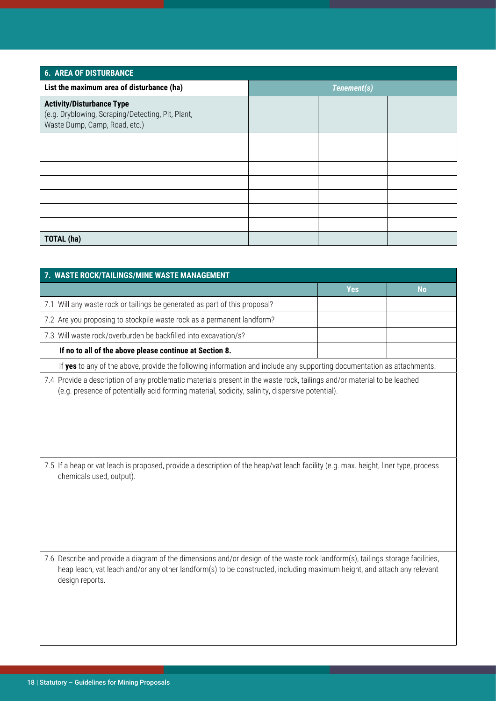| <b>6. AREA OF DISTURBANCE</b>                                                                                          |  |             |  |
|------------------------------------------------------------------------------------------------------------------------|--|-------------|--|
| List the maximum area of disturbance (ha)                                                                              |  | Tenement(s) |  |
| <b>Activity/Disturbance Type</b><br>(e.g. Dryblowing, Scraping/Detecting, Pit, Plant,<br>Waste Dump, Camp, Road, etc.) |  |             |  |
|                                                                                                                        |  |             |  |
|                                                                                                                        |  |             |  |
|                                                                                                                        |  |             |  |
|                                                                                                                        |  |             |  |
|                                                                                                                        |  |             |  |
|                                                                                                                        |  |             |  |
|                                                                                                                        |  |             |  |
| <b>TOTAL (ha)</b>                                                                                                      |  |             |  |

| 7. WASTE ROCK/TAILINGS/MINE WASTE MANAGEMENT                                                                                                                                                                                                                                 |            |           |
|------------------------------------------------------------------------------------------------------------------------------------------------------------------------------------------------------------------------------------------------------------------------------|------------|-----------|
|                                                                                                                                                                                                                                                                              | <b>Yes</b> | <b>No</b> |
| 7.1 Will any waste rock or tailings be generated as part of this proposal?                                                                                                                                                                                                   |            |           |
| 7.2 Are you proposing to stockpile waste rock as a permanent landform?                                                                                                                                                                                                       |            |           |
| 7.3 Will waste rock/overburden be backfilled into excavation/s?                                                                                                                                                                                                              |            |           |
| If no to all of the above please continue at Section 8.                                                                                                                                                                                                                      |            |           |
| If yes to any of the above, provide the following information and include any supporting documentation as attachments.                                                                                                                                                       |            |           |
| 7.4 Provide a description of any problematic materials present in the waste rock, tailings and/or material to be leached<br>(e.g. presence of potentially acid forming material, sodicity, salinity, dispersive potential).                                                  |            |           |
| 7.5 If a heap or vat leach is proposed, provide a description of the heap/vat leach facility (e.g. max. height, liner type, process<br>chemicals used, output).                                                                                                              |            |           |
| 7.6 Describe and provide a diagram of the dimensions and/or design of the waste rock landform(s), tailings storage facilities,<br>heap leach, vat leach and/or any other landform(s) to be constructed, including maximum height, and attach any relevant<br>design reports. |            |           |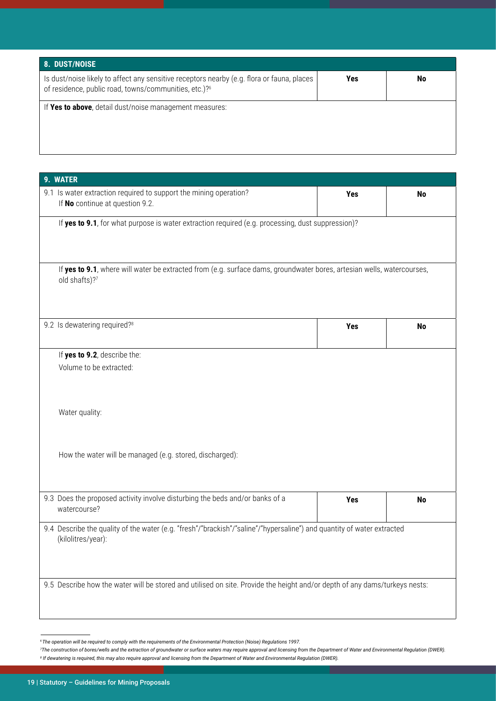| 8. DUST/NOISE                                                                                                                                                   |     |    |
|-----------------------------------------------------------------------------------------------------------------------------------------------------------------|-----|----|
| Is dust/noise likely to affect any sensitive receptors nearby (e.g. flora or fauna, places<br>of residence, public road, towns/communities, etc.)? <sup>6</sup> | Yes | No |
| If Yes to above, detail dust/noise management measures:                                                                                                         |     |    |

| 9. WATER                                                                                                                                     |     |           |
|----------------------------------------------------------------------------------------------------------------------------------------------|-----|-----------|
| 9.1 Is water extraction required to support the mining operation?<br>If No continue at question 9.2.                                         | Yes | <b>No</b> |
| If yes to 9.1, for what purpose is water extraction required (e.g. processing, dust suppression)?                                            |     |           |
| If yes to 9.1, where will water be extracted from (e.g. surface dams, groundwater bores, artesian wells, watercourses,<br>old shafts)?7      |     |           |
| 9.2 Is dewatering required? <sup>8</sup>                                                                                                     | Yes | <b>No</b> |
| If yes to 9.2, describe the:                                                                                                                 |     |           |
| Volume to be extracted:                                                                                                                      |     |           |
| Water quality:                                                                                                                               |     |           |
| How the water will be managed (e.g. stored, discharged):                                                                                     |     |           |
| 9.3 Does the proposed activity involve disturbing the beds and/or banks of a<br>watercourse?                                                 | Yes | <b>No</b> |
| 9.4 Describe the quality of the water (e.g. "fresh"/"brackish"/"saline"/"hypersaline") and quantity of water extracted<br>(kilolitres/year): |     |           |
| 9.5 Describe how the water will be stored and utilised on site. Provide the height and/or depth of any dams/turkeys nests:                   |     |           |

<sup>&</sup>lt;sup>6</sup>The operation will be required to comply with the requirements of the Environmental Protection (Noise) Regulations 1997.

<sup>&</sup>lt;sup>8</sup> If dewatering is required, this may also require approval and licensing from the Department of Water and Environmental Regulation (DWER). <sup>7</sup> The construction of bores/wells and the extraction of groundwater or surface waters may require approval and licensing from the Department of Water and Environmental Regulation (DWER).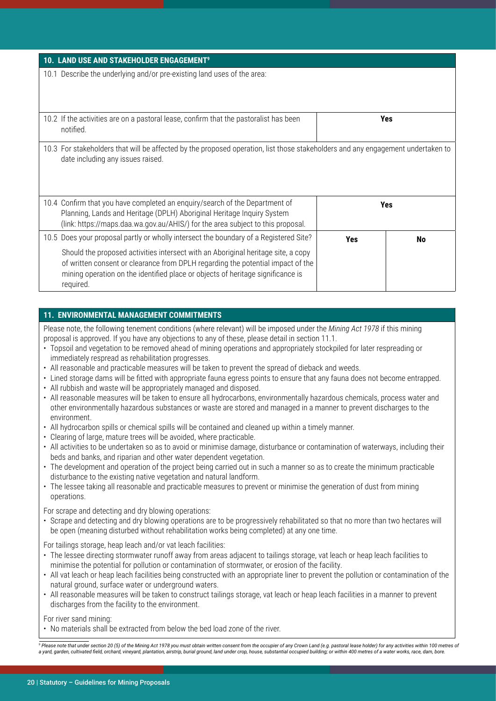| 10. LAND USE AND STAKEHOLDER ENGAGEMENT <sup>9</sup>                                                                                                                                                                                                                                                                                                          |            |     |
|---------------------------------------------------------------------------------------------------------------------------------------------------------------------------------------------------------------------------------------------------------------------------------------------------------------------------------------------------------------|------------|-----|
| 10.1 Describe the underlying and/or pre-existing land uses of the area:                                                                                                                                                                                                                                                                                       |            |     |
| 10.2 If the activities are on a pastoral lease, confirm that the pastoralist has been<br>notified.                                                                                                                                                                                                                                                            |            | Yes |
| 10.3 For stakeholders that will be affected by the proposed operation, list those stakeholders and any engagement undertaken to<br>date including any issues raised.                                                                                                                                                                                          |            |     |
| 10.4 Confirm that you have completed an enquiry/search of the Department of<br>Planning, Lands and Heritage (DPLH) Aboriginal Heritage Inquiry System<br>(link: https://maps.daa.wa.gov.au/AHIS/) for the area subject to this proposal.                                                                                                                      | <b>Yes</b> |     |
| 10.5 Does your proposal partly or wholly intersect the boundary of a Registered Site?<br>Should the proposed activities intersect with an Aboriginal heritage site, a copy<br>of written consent or clearance from DPLH regarding the potential impact of the<br>mining operation on the identified place or objects of heritage significance is<br>required. | Yes        | No  |

#### **11. ENVIRONMENTAL MANAGEMENT COMMITMENTS**

Please note, the following tenement conditions (where relevant) will be imposed under the *Mining Act 1978* if this mining proposal is approved. If you have any objections to any of these, please detail in section 11.1.

- Topsoil and vegetation to be removed ahead of mining operations and appropriately stockpiled for later respreading or immediately respread as rehabilitation progresses.
- All reasonable and practicable measures will be taken to prevent the spread of dieback and weeds.
- Lined storage dams will be fitted with appropriate fauna egress points to ensure that any fauna does not become entrapped.
- All rubbish and waste will be appropriately managed and disposed.
- All reasonable measures will be taken to ensure all hydrocarbons, environmentally hazardous chemicals, process water and other environmentally hazardous substances or waste are stored and managed in a manner to prevent discharges to the environment.
- All hydrocarbon spills or chemical spills will be contained and cleaned up within a timely manner.
- Clearing of large, mature trees will be avoided, where practicable.
- All activities to be undertaken so as to avoid or minimise damage, disturbance or contamination of waterways, including their beds and banks, and riparian and other water dependent vegetation.
- The development and operation of the project being carried out in such a manner so as to create the minimum practicable disturbance to the existing native vegetation and natural landform.
- The lessee taking all reasonable and practicable measures to prevent or minimise the generation of dust from mining operations.

For scrape and detecting and dry blowing operations:

• Scrape and detecting and dry blowing operations are to be progressively rehabilitated so that no more than two hectares will be open (meaning disturbed without rehabilitation works being completed) at any one time.

For tailings storage, heap leach and/or vat leach facilities:

- The lessee directing stormwater runoff away from areas adjacent to tailings storage, vat leach or heap leach facilities to minimise the potential for pollution or contamination of stormwater, or erosion of the facility.
- All vat leach or heap leach facilities being constructed with an appropriate liner to prevent the pollution or contamination of the natural ground, surface water or underground waters.
- All reasonable measures will be taken to construct tailings storage, vat leach or heap leach facilities in a manner to prevent discharges from the facility to the environment.

For river sand mining:

• No materials shall be extracted from below the bed load zone of the river.

a yard, garden, cultivated field, orchard, vineyard, plantation, airstrip, burial ground, land under crop, house, substantial occupied building; or within 400 metres of a water works, race, dam, bore. <sup>9</sup> Please note that under section 20 (5) of the Mining Act 1978 you must obtain written consent from the occupier of any Crown Land (e.g. pastoral lease holder) for any activities within 100 metres of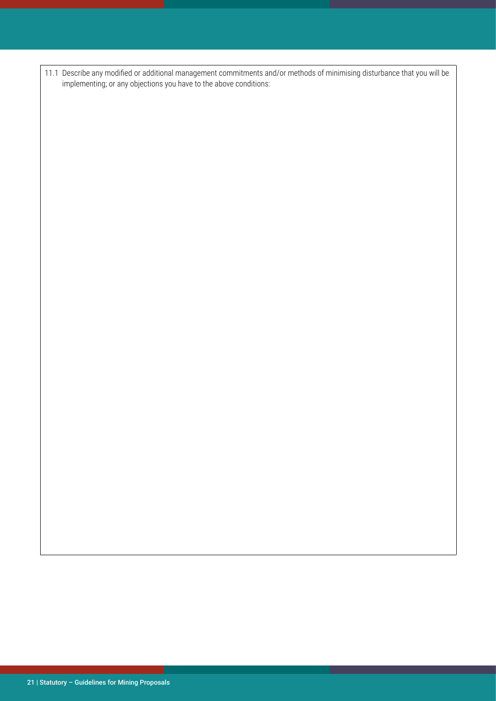11.1 Describe any modified or additional management commitments and/or methods of minimising disturbance that you will be implementing; or any objections you have to the above conditions: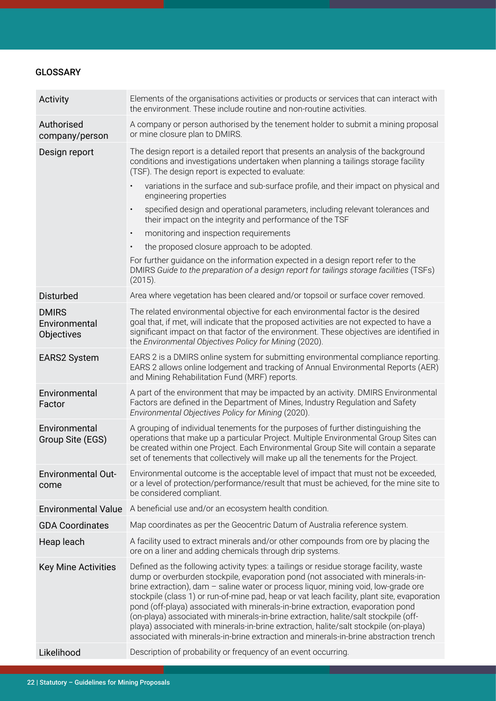# **GLOSSARY**

| Activity                                    | Elements of the organisations activities or products or services that can interact with<br>the environment. These include routine and non-routine activities.                                                                                                                                                                                                                                                                                                                                                                                                                                                                                                                                                                 |
|---------------------------------------------|-------------------------------------------------------------------------------------------------------------------------------------------------------------------------------------------------------------------------------------------------------------------------------------------------------------------------------------------------------------------------------------------------------------------------------------------------------------------------------------------------------------------------------------------------------------------------------------------------------------------------------------------------------------------------------------------------------------------------------|
| Authorised<br>company/person                | A company or person authorised by the tenement holder to submit a mining proposal<br>or mine closure plan to DMIRS.                                                                                                                                                                                                                                                                                                                                                                                                                                                                                                                                                                                                           |
| Design report                               | The design report is a detailed report that presents an analysis of the background<br>conditions and investigations undertaken when planning a tailings storage facility<br>(TSF). The design report is expected to evaluate:                                                                                                                                                                                                                                                                                                                                                                                                                                                                                                 |
|                                             | variations in the surface and sub-surface profile, and their impact on physical and<br>engineering properties                                                                                                                                                                                                                                                                                                                                                                                                                                                                                                                                                                                                                 |
|                                             | specified design and operational parameters, including relevant tolerances and<br>$\bullet$<br>their impact on the integrity and performance of the TSF                                                                                                                                                                                                                                                                                                                                                                                                                                                                                                                                                                       |
|                                             | monitoring and inspection requirements<br>$\bullet$                                                                                                                                                                                                                                                                                                                                                                                                                                                                                                                                                                                                                                                                           |
|                                             | the proposed closure approach to be adopted.                                                                                                                                                                                                                                                                                                                                                                                                                                                                                                                                                                                                                                                                                  |
|                                             | For further guidance on the information expected in a design report refer to the<br>DMIRS Guide to the preparation of a design report for tailings storage facilities (TSFs)<br>(2015).                                                                                                                                                                                                                                                                                                                                                                                                                                                                                                                                       |
| <b>Disturbed</b>                            | Area where vegetation has been cleared and/or topsoil or surface cover removed.                                                                                                                                                                                                                                                                                                                                                                                                                                                                                                                                                                                                                                               |
| <b>DMIRS</b><br>Environmental<br>Objectives | The related environmental objective for each environmental factor is the desired<br>goal that, if met, will indicate that the proposed activities are not expected to have a<br>significant impact on that factor of the environment. These objectives are identified in<br>the Environmental Objectives Policy for Mining (2020).                                                                                                                                                                                                                                                                                                                                                                                            |
| <b>EARS2 System</b>                         | EARS 2 is a DMIRS online system for submitting environmental compliance reporting.<br>EARS 2 allows online lodgement and tracking of Annual Environmental Reports (AER)<br>and Mining Rehabilitation Fund (MRF) reports.                                                                                                                                                                                                                                                                                                                                                                                                                                                                                                      |
| Environmental<br>Factor                     | A part of the environment that may be impacted by an activity. DMIRS Environmental<br>Factors are defined in the Department of Mines, Industry Regulation and Safety<br>Environmental Objectives Policy for Mining (2020).                                                                                                                                                                                                                                                                                                                                                                                                                                                                                                    |
| Environmental<br>Group Site (EGS)           | A grouping of individual tenements for the purposes of further distinguishing the<br>operations that make up a particular Project. Multiple Environmental Group Sites can<br>be created within one Project. Each Environmental Group Site will contain a separate<br>set of tenements that collectively will make up all the tenements for the Project.                                                                                                                                                                                                                                                                                                                                                                       |
| <b>Environmental Out-</b><br>come           | Environmental outcome is the acceptable level of impact that must not be exceeded,<br>or a level of protection/performance/result that must be achieved, for the mine site to<br>be considered compliant.                                                                                                                                                                                                                                                                                                                                                                                                                                                                                                                     |
| <b>Environmental Value</b>                  | A beneficial use and/or an ecosystem health condition.                                                                                                                                                                                                                                                                                                                                                                                                                                                                                                                                                                                                                                                                        |
| <b>GDA Coordinates</b>                      | Map coordinates as per the Geocentric Datum of Australia reference system.                                                                                                                                                                                                                                                                                                                                                                                                                                                                                                                                                                                                                                                    |
| Heap leach                                  | A facility used to extract minerals and/or other compounds from ore by placing the<br>ore on a liner and adding chemicals through drip systems.                                                                                                                                                                                                                                                                                                                                                                                                                                                                                                                                                                               |
| <b>Key Mine Activities</b>                  | Defined as the following activity types: a tailings or residue storage facility, waste<br>dump or overburden stockpile, evaporation pond (not associated with minerals-in-<br>brine extraction), dam - saline water or process liquor, mining void, low-grade ore<br>stockpile (class 1) or run-of-mine pad, heap or vat leach facility, plant site, evaporation<br>pond (off-playa) associated with minerals-in-brine extraction, evaporation pond<br>(on-playa) associated with minerals-in-brine extraction, halite/salt stockpile (off-<br>playa) associated with minerals-in-brine extraction, halite/salt stockpile (on-playa)<br>associated with minerals-in-brine extraction and minerals-in-brine abstraction trench |
| Likelihood                                  | Description of probability or frequency of an event occurring.                                                                                                                                                                                                                                                                                                                                                                                                                                                                                                                                                                                                                                                                |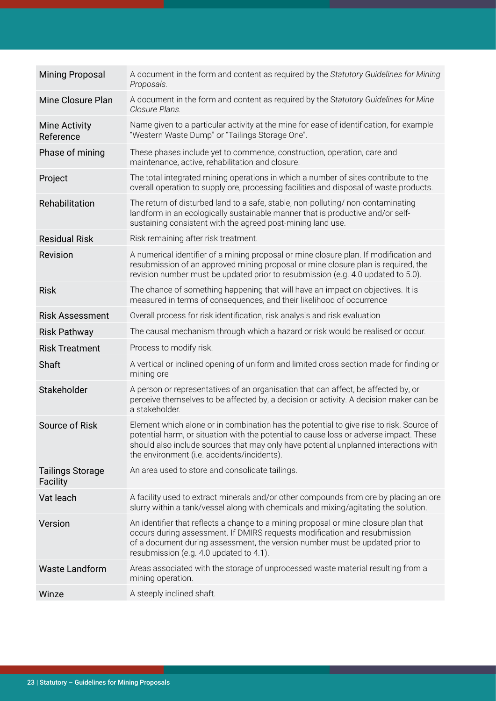| <b>Mining Proposal</b>              | A document in the form and content as required by the Statutory Guidelines for Mining<br>Proposals.                                                                                                                                                                                                                      |
|-------------------------------------|--------------------------------------------------------------------------------------------------------------------------------------------------------------------------------------------------------------------------------------------------------------------------------------------------------------------------|
| Mine Closure Plan                   | A document in the form and content as required by the Statutory Guidelines for Mine<br>Closure Plans.                                                                                                                                                                                                                    |
| <b>Mine Activity</b><br>Reference   | Name given to a particular activity at the mine for ease of identification, for example<br>"Western Waste Dump" or "Tailings Storage One".                                                                                                                                                                               |
| Phase of mining                     | These phases include yet to commence, construction, operation, care and<br>maintenance, active, rehabilitation and closure.                                                                                                                                                                                              |
| Project                             | The total integrated mining operations in which a number of sites contribute to the<br>overall operation to supply ore, processing facilities and disposal of waste products.                                                                                                                                            |
| Rehabilitation                      | The return of disturbed land to a safe, stable, non-polluting/ non-contaminating<br>landform in an ecologically sustainable manner that is productive and/or self-<br>sustaining consistent with the agreed post-mining land use.                                                                                        |
| <b>Residual Risk</b>                | Risk remaining after risk treatment.                                                                                                                                                                                                                                                                                     |
| Revision                            | A numerical identifier of a mining proposal or mine closure plan. If modification and<br>resubmission of an approved mining proposal or mine closure plan is required, the<br>revision number must be updated prior to resubmission (e.g. 4.0 updated to 5.0).                                                           |
| <b>Risk</b>                         | The chance of something happening that will have an impact on objectives. It is<br>measured in terms of consequences, and their likelihood of occurrence                                                                                                                                                                 |
| <b>Risk Assessment</b>              | Overall process for risk identification, risk analysis and risk evaluation                                                                                                                                                                                                                                               |
| <b>Risk Pathway</b>                 | The causal mechanism through which a hazard or risk would be realised or occur.                                                                                                                                                                                                                                          |
| <b>Risk Treatment</b>               | Process to modify risk.                                                                                                                                                                                                                                                                                                  |
| Shaft                               | A vertical or inclined opening of uniform and limited cross section made for finding or<br>mining ore                                                                                                                                                                                                                    |
| Stakeholder                         | A person or representatives of an organisation that can affect, be affected by, or<br>perceive themselves to be affected by, a decision or activity. A decision maker can be<br>a stakeholder.                                                                                                                           |
| Source of Risk                      | Element which alone or in combination has the potential to give rise to risk. Source of<br>potential harm, or situation with the potential to cause loss or adverse impact. These<br>should also include sources that may only have potential unplanned interactions with<br>the environment (i.e. accidents/incidents). |
| <b>Tailings Storage</b><br>Facility | An area used to store and consolidate tailings.                                                                                                                                                                                                                                                                          |
| Vat leach                           | A facility used to extract minerals and/or other compounds from ore by placing an ore<br>slurry within a tank/vessel along with chemicals and mixing/agitating the solution.                                                                                                                                             |
| Version                             | An identifier that reflects a change to a mining proposal or mine closure plan that<br>occurs during assessment. If DMIRS requests modification and resubmission<br>of a document during assessment, the version number must be updated prior to<br>resubmission (e.g. 4.0 updated to 4.1).                              |
| <b>Waste Landform</b>               | Areas associated with the storage of unprocessed waste material resulting from a<br>mining operation.                                                                                                                                                                                                                    |
| Winze                               | A steeply inclined shaft.                                                                                                                                                                                                                                                                                                |
|                                     |                                                                                                                                                                                                                                                                                                                          |